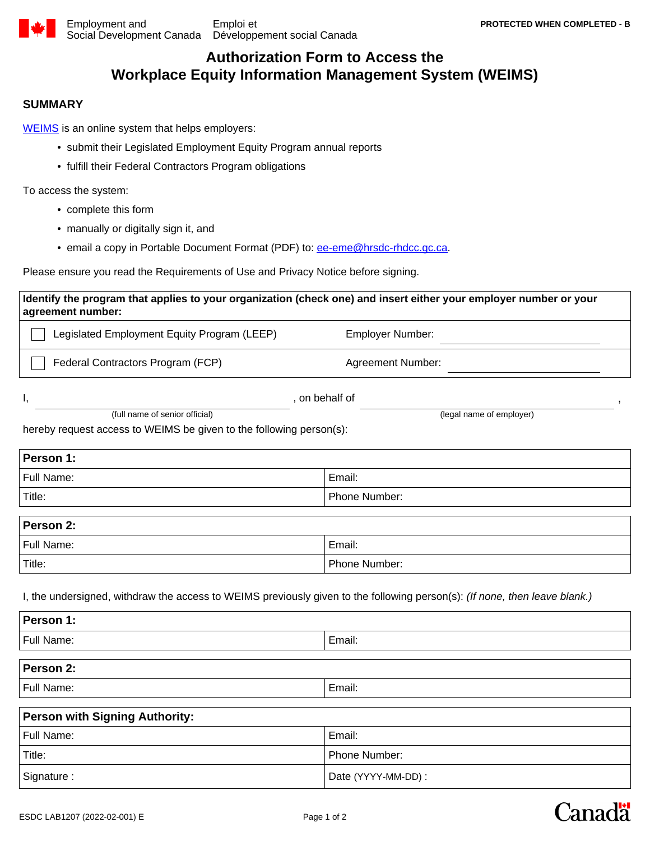**Canada** 

## **Authorization Form to Access the Workplace Equity Information Management System (WEIMS)**

## **SUMMARY**

[WEIMS](https://equity.esdc.gc.ca/sgiemt-weims/emp/WeimsMaintLogin.jsp) is an online system that helps employers:

- submit their Legislated Employment Equity Program annual reports
- fulfill their Federal Contractors Program obligations

To access the system:

- complete this form
- manually or digitally sign it, and
- email a copy in Portable Document Format (PDF) to: [ee-eme@hrsdc-rhdcc.gc.ca.](mailto:ee-eme@hrsdc-rhdcc.gc.ca)

Please ensure you read the Requirements of Use and Privacy Notice before signing.

| Identify the program that applies to your organization (check one) and insert either your employer number or your<br>agreement number: |                          |  |
|----------------------------------------------------------------------------------------------------------------------------------------|--------------------------|--|
| Legislated Employment Equity Program (LEEP)                                                                                            | <b>Employer Number:</b>  |  |
| Federal Contractors Program (FCP)                                                                                                      | <b>Agreement Number:</b> |  |

| Ι,                                                                  | on behalf of  |                          |  |
|---------------------------------------------------------------------|---------------|--------------------------|--|
| (full name of senior official)                                      |               | (legal name of employer) |  |
| hereby request access to WEIMS be given to the following person(s): |               |                          |  |
| Person 1:                                                           |               |                          |  |
| Full Name:                                                          | Email:        |                          |  |
| Title:                                                              | Phone Number: |                          |  |
| $P^{\alpha}$ con $2^{\alpha}$                                       |               |                          |  |

| I LAISOII T. |               |
|--------------|---------------|
| Full Name:   | Email:        |
| Title:       | Phone Number: |

I, the undersigned, withdraw the access to WEIMS previously given to the following person(s): *(If none, then leave blank.)*

| Person 1:                      |                    |  |
|--------------------------------|--------------------|--|
| Full Name:                     | Email:             |  |
| Person 2:                      |                    |  |
| Full Name:                     | Email:             |  |
| Person with Signing Authority: |                    |  |
| Full Name:                     | Email:             |  |
| Title:                         | Phone Number:      |  |
| Signature :                    | Date (YYYY-MM-DD): |  |